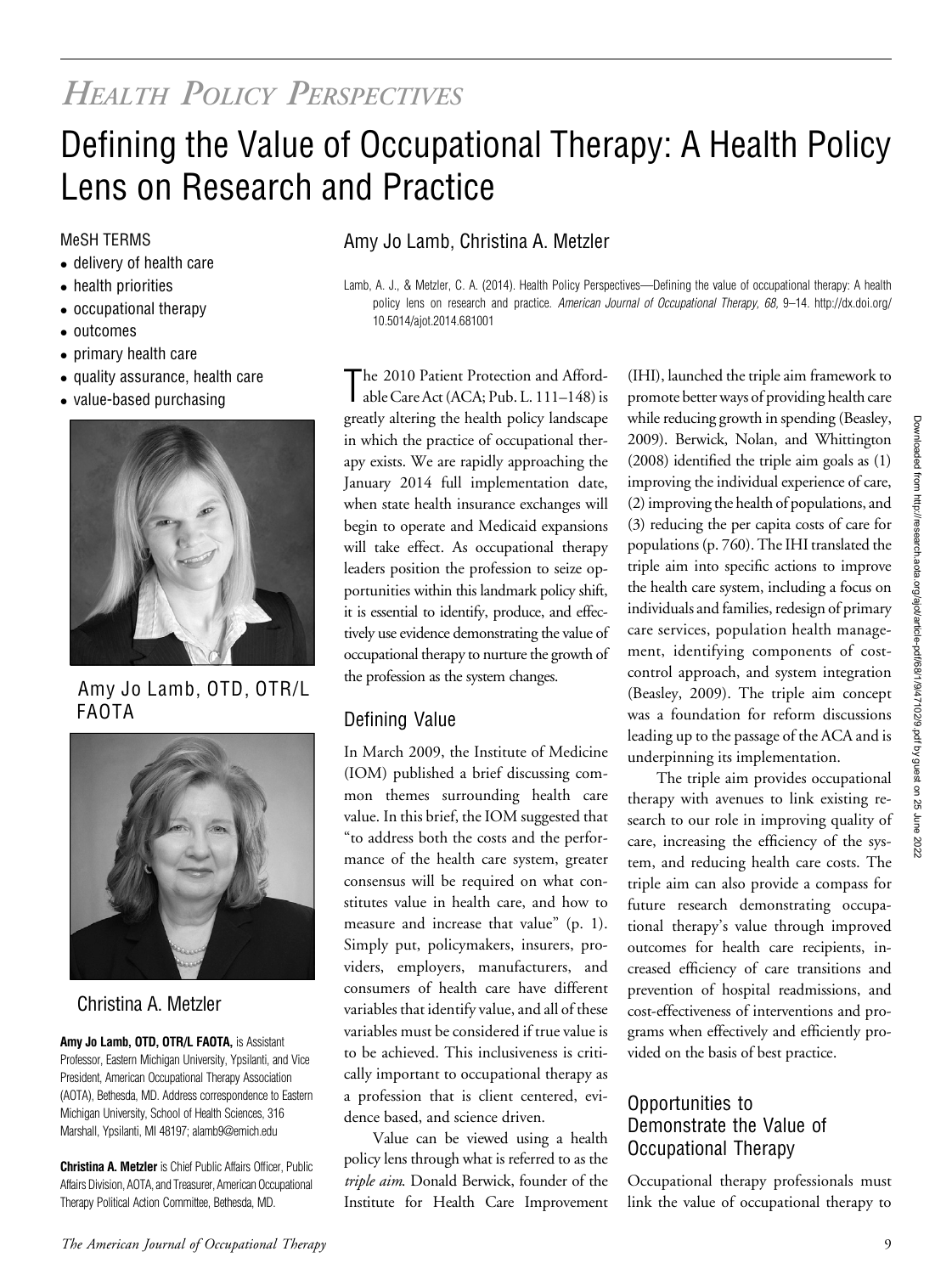# HEALTH POLICY PERSPECTIVES

# Defining the Value of Occupational Therapy: A Health Policy Lens on Research and Practice

- delivery of health care
- health priorities
- occupational therapy
- outcomes
- primary health care
- quality assurance, health care
- value-based purchasing



Amy Jo Lamb, OTD, OTR/L FAOTA



## Christina A. Metzler

Amy Jo Lamb, OTD, OTR/L FAOTA, is Assistant Professor, Eastern Michigan University, Ypsilanti, and Vice President, American Occupational Therapy Association (AOTA), Bethesda, MD. Address correspondence to Eastern Michigan University, School of Health Sciences, 316 Marshall, Ypsilanti, MI 48197; [alamb9@emich.edu](mailto:alamb9@emich.edu)

Christina A. Metzler is Chief Public Affairs Officer, Public Affairs Division, AOTA, and Treasurer, American Occupational Therapy Political Action Committee, Bethesda, MD.

### MeSH TERMS **Amy Jo Lamb, Christina A. Metzler**

Lamb, A. J., & Metzler, C. A. (2014). Health Policy Perspectives—Defining the value of occupational therapy: A health policy lens on research and practice. American Journal of Occupational Therapy, 68, 9-14. http://dx.doi.org/ 10.5014/ajot.2014.681001

The 2010 Patient Protection and Afford-<br>able Care Act (ACA; Pub. L. 111–148) is The 2010 Patient Protection and Affordgreatly altering the health policy landscape in which the practice of occupational therapy exists. We are rapidly approaching the January 2014 full implementation date, when state health insurance exchanges will begin to operate and Medicaid expansions will take effect. As occupational therapy leaders position the profession to seize opportunities within this landmark policy shift, it is essential to identify, produce, and effectively use evidence demonstrating the value of occupational therapy to nurture the growth of the profession as the system changes.

## Defining Value

In March 2009, the Institute of Medicine (IOM) published a brief discussing common themes surrounding health care value. In this brief, the IOM suggested that "to address both the costs and the performance of the health care system, greater consensus will be required on what constitutes value in health care, and how to measure and increase that value" (p. 1). Simply put, policymakers, insurers, providers, employers, manufacturers, and consumers of health care have different variables that identify value, and all of these variables must be considered if true value is to be achieved. This inclusiveness is critically important to occupational therapy as a profession that is client centered, evidence based, and science driven.

Value can be viewed using a health policy lens through what is referred to as the triple aim. Donald Berwick, founder of the Institute for Health Care Improvement

(IHI), launched the triple aim framework to promote better ways of providing health care while reducing growth in spending (Beasley, 2009). Berwick, Nolan, and Whittington (2008) identified the triple aim goals as (1) improving the individual experience of care, (2) improving the health of populations, and (3) reducing the per capita costs of care for populations (p. 760). The IHI translated the triple aim into specific actions to improve the health care system, including a focus on individuals and families, redesign of primary care services, population health management, identifying components of costcontrol approach, and system integration (Beasley, 2009). The triple aim concept was a foundation for reform discussions leading up to the passage of the ACA and is underpinning its implementation.

The triple aim provides occupational therapy with avenues to link existing research to our role in improving quality of care, increasing the efficiency of the system, and reducing health care costs. The triple aim can also provide a compass for future research demonstrating occupational therapy's value through improved outcomes for health care recipients, increased efficiency of care transitions and prevention of hospital readmissions, and cost-effectiveness of interventions and programs when effectively and efficiently provided on the basis of best practice.

#### Opportunities to Demonstrate the Value of Occupational Therapy

Occupational therapy professionals must link the value of occupational therapy to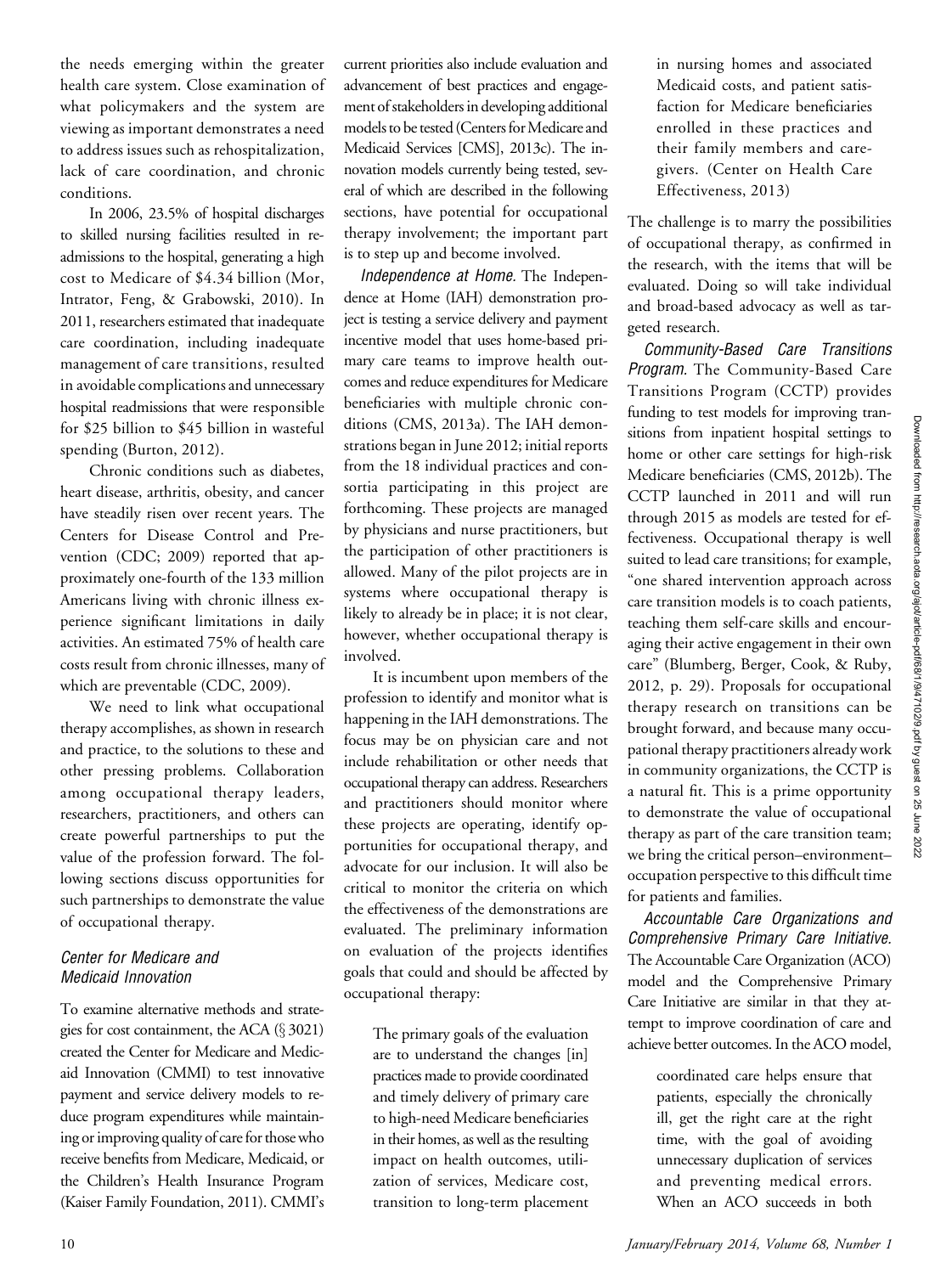the needs emerging within the greater health care system. Close examination of what policymakers and the system are viewing as important demonstrates a need to address issues such as rehospitalization, lack of care coordination, and chronic conditions.

In 2006, 23.5% of hospital discharges to skilled nursing facilities resulted in readmissions to the hospital, generating a high cost to Medicare of \$4.34 billion (Mor, Intrator, Feng, & Grabowski, 2010). In 2011, researchers estimated that inadequate care coordination, including inadequate management of care transitions, resulted in avoidable complications and unnecessary hospital readmissions that were responsible for \$25 billion to \$45 billion in wasteful spending (Burton, 2012).

Chronic conditions such as diabetes, heart disease, arthritis, obesity, and cancer have steadily risen over recent years. The Centers for Disease Control and Prevention (CDC; 2009) reported that approximately one-fourth of the 133 million Americans living with chronic illness experience significant limitations in daily activities. An estimated 75% of health care costs result from chronic illnesses, many of which are preventable (CDC, 2009).

We need to link what occupational therapy accomplishes, as shown in research and practice, to the solutions to these and other pressing problems. Collaboration among occupational therapy leaders, researchers, practitioners, and others can create powerful partnerships to put the value of the profession forward. The following sections discuss opportunities for such partnerships to demonstrate the value of occupational therapy.

#### Center for Medicare and Medicaid Innovation

To examine alternative methods and strategies for cost containment, the ACA  $(\S 3021)$ created the Center for Medicare and Medicaid Innovation (CMMI) to test innovative payment and service delivery models to reduce program expenditures while maintaining or improving quality of care for those who receive benefits from Medicare, Medicaid, or the Children's Health Insurance Program (Kaiser Family Foundation, 2011). CMMI's

current priorities also include evaluation and advancement of best practices and engagement of stakeholders in developing additional models to be tested (Centers for Medicare and Medicaid Services [CMS], 2013c). The innovation models currently being tested, several of which are described in the following sections, have potential for occupational therapy involvement; the important part is to step up and become involved.

Independence at Home. The Independence at Home (IAH) demonstration project is testing a service delivery and payment incentive model that uses home-based primary care teams to improve health outcomes and reduce expenditures for Medicare beneficiaries with multiple chronic conditions (CMS, 2013a). The IAH demonstrations began in June 2012; initial reports from the 18 individual practices and consortia participating in this project are forthcoming. These projects are managed by physicians and nurse practitioners, but the participation of other practitioners is allowed. Many of the pilot projects are in systems where occupational therapy is likely to already be in place; it is not clear, however, whether occupational therapy is involved.

It is incumbent upon members of the profession to identify and monitor what is happening in the IAH demonstrations. The focus may be on physician care and not include rehabilitation or other needs that occupational therapy can address. Researchers and practitioners should monitor where these projects are operating, identify opportunities for occupational therapy, and advocate for our inclusion. It will also be critical to monitor the criteria on which the effectiveness of the demonstrations are evaluated. The preliminary information on evaluation of the projects identifies goals that could and should be affected by occupational therapy:

The primary goals of the evaluation are to understand the changes [in] practices made to provide coordinated and timely delivery of primary care to high-need Medicare beneficiaries in their homes, as well as the resulting impact on health outcomes, utilization of services, Medicare cost, transition to long-term placement

in nursing homes and associated Medicaid costs, and patient satisfaction for Medicare beneficiaries enrolled in these practices and their family members and caregivers. (Center on Health Care Effectiveness, 2013)

The challenge is to marry the possibilities of occupational therapy, as confirmed in the research, with the items that will be evaluated. Doing so will take individual and broad-based advocacy as well as targeted research.

Community-Based Care Transitions Program. The Community-Based Care Transitions Program (CCTP) provides funding to test models for improving transitions from inpatient hospital settings to home or other care settings for high-risk Medicare beneficiaries (CMS, 2012b). The CCTP launched in 2011 and will run through 2015 as models are tested for effectiveness. Occupational therapy is well suited to lead care transitions; for example, "one shared intervention approach across care transition models is to coach patients, teaching them self-care skills and encouraging their active engagement in their own care" (Blumberg, Berger, Cook, & Ruby, 2012, p. 29). Proposals for occupational therapy research on transitions can be brought forward, and because many occupational therapy practitioners already work in community organizations, the CCTP is a natural fit. This is a prime opportunity to demonstrate the value of occupational therapy as part of the care transition team; we bring the critical person–environment– occupation perspective to this difficult time for patients and families.

Accountable Care Organizations and Comprehensive Primary Care Initiative. The Accountable Care Organization (ACO) model and the Comprehensive Primary Care Initiative are similar in that they attempt to improve coordination of care and achieve better outcomes. In the ACO model,

> coordinated care helps ensure that patients, especially the chronically ill, get the right care at the right time, with the goal of avoiding unnecessary duplication of services and preventing medical errors. When an ACO succeeds in both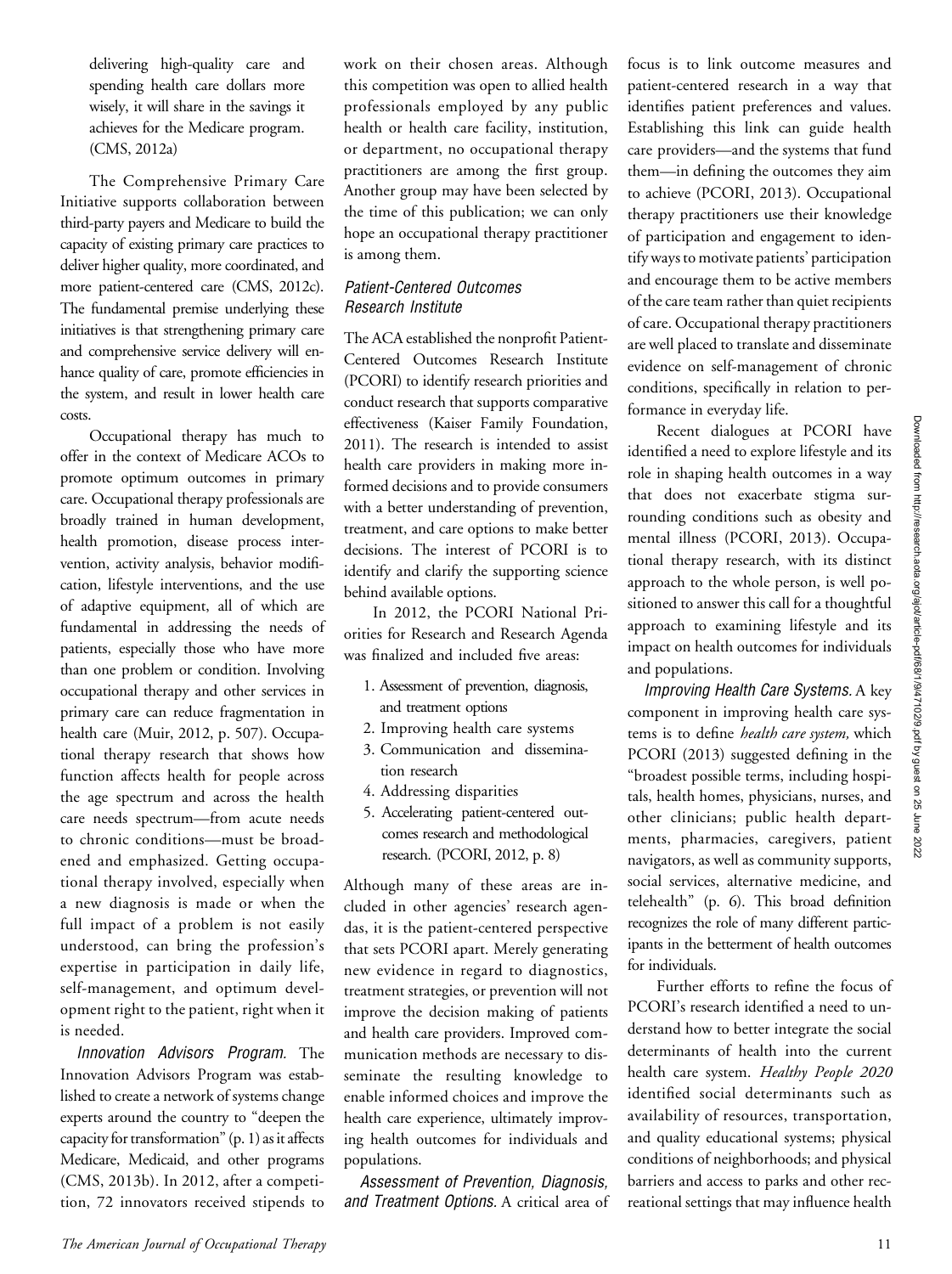delivering high-quality care and spending health care dollars more wisely, it will share in the savings it achieves for the Medicare program. (CMS, 2012a)

The Comprehensive Primary Care Initiative supports collaboration between third-party payers and Medicare to build the capacity of existing primary care practices to deliver higher quality, more coordinated, and more patient-centered care (CMS, 2012c). The fundamental premise underlying these initiatives is that strengthening primary care and comprehensive service delivery will enhance quality of care, promote efficiencies in the system, and result in lower health care costs.

Occupational therapy has much to offer in the context of Medicare ACOs to promote optimum outcomes in primary care. Occupational therapy professionals are broadly trained in human development, health promotion, disease process intervention, activity analysis, behavior modification, lifestyle interventions, and the use of adaptive equipment, all of which are fundamental in addressing the needs of patients, especially those who have more than one problem or condition. Involving occupational therapy and other services in primary care can reduce fragmentation in health care (Muir, 2012, p. 507). Occupational therapy research that shows how function affects health for people across the age spectrum and across the health care needs spectrum—from acute needs to chronic conditions—must be broadened and emphasized. Getting occupational therapy involved, especially when a new diagnosis is made or when the full impact of a problem is not easily understood, can bring the profession's expertise in participation in daily life, self-management, and optimum development right to the patient, right when it is needed.

Innovation Advisors Program. The Innovation Advisors Program was established to create a network of systems change experts around the country to "deepen the capacity for transformation" (p. 1) as it affects Medicare, Medicaid, and other programs (CMS, 2013b). In 2012, after a competition, 72 innovators received stipends to

work on their chosen areas. Although this competition was open to allied health professionals employed by any public health or health care facility, institution, or department, no occupational therapy practitioners are among the first group. Another group may have been selected by the time of this publication; we can only hope an occupational therapy practitioner is among them.

#### Patient-Centered Outcomes Research Institute

The ACA established the nonprofit Patient-Centered Outcomes Research Institute (PCORI) to identify research priorities and conduct research that supports comparative effectiveness (Kaiser Family Foundation, 2011). The research is intended to assist health care providers in making more informed decisions and to provide consumers with a better understanding of prevention, treatment, and care options to make better decisions. The interest of PCORI is to identify and clarify the supporting science behind available options.

In 2012, the PCORI National Priorities for Research and Research Agenda was finalized and included five areas:

- 1. Assessment of prevention, diagnosis, and treatment options
- 2. Improving health care systems
- 3. Communication and dissemination research
- 4. Addressing disparities
- 5. Accelerating patient-centered outcomes research and methodological research. (PCORI, 2012, p. 8)

Although many of these areas are included in other agencies' research agendas, it is the patient-centered perspective that sets PCORI apart. Merely generating new evidence in regard to diagnostics, treatment strategies, or prevention will not improve the decision making of patients and health care providers. Improved communication methods are necessary to disseminate the resulting knowledge to enable informed choices and improve the health care experience, ultimately improving health outcomes for individuals and populations.

Assessment of Prevention, Diagnosis, and Treatment Options. A critical area of

focus is to link outcome measures and patient-centered research in a way that identifies patient preferences and values. Establishing this link can guide health care providers—and the systems that fund them—in defining the outcomes they aim to achieve (PCORI, 2013). Occupational therapy practitioners use their knowledge of participation and engagement to identify ways to motivate patients' participation and encourage them to be active members of the care team rather than quiet recipients of care. Occupational therapy practitioners are well placed to translate and disseminate evidence on self-management of chronic conditions, specifically in relation to performance in everyday life.

Recent dialogues at PCORI have identified a need to explore lifestyle and its role in shaping health outcomes in a way that does not exacerbate stigma surrounding conditions such as obesity and mental illness (PCORI, 2013). Occupational therapy research, with its distinct approach to the whole person, is well positioned to answer this call for a thoughtful approach to examining lifestyle and its impact on health outcomes for individuals and populations.

Improving Health Care Systems. A key component in improving health care systems is to define *health care system*, which PCORI (2013) suggested defining in the "broadest possible terms, including hospitals, health homes, physicians, nurses, and other clinicians; public health departments, pharmacies, caregivers, patient navigators, as well as community supports, social services, alternative medicine, and telehealth" (p. 6). This broad definition recognizes the role of many different participants in the betterment of health outcomes for individuals.

Further efforts to refine the focus of PCORI's research identified a need to understand how to better integrate the social determinants of health into the current health care system. Healthy People 2020 identified social determinants such as availability of resources, transportation, and quality educational systems; physical conditions of neighborhoods; and physical barriers and access to parks and other recreational settings that may influence health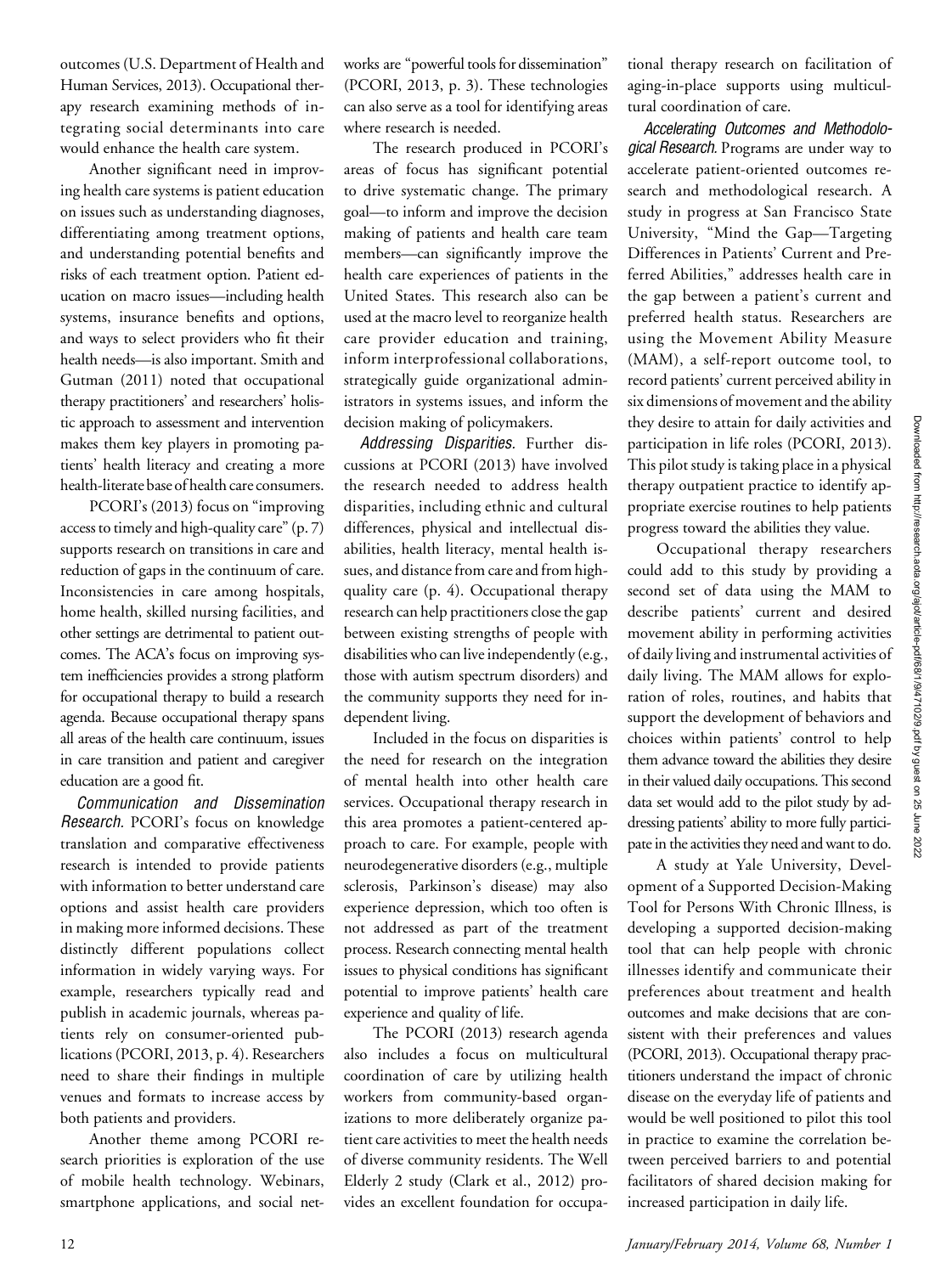outcomes (U.S. Department of Health and Human Services, 2013). Occupational therapy research examining methods of integrating social determinants into care would enhance the health care system.

Another significant need in improving health care systems is patient education on issues such as understanding diagnoses, differentiating among treatment options, and understanding potential benefits and risks of each treatment option. Patient education on macro issues—including health systems, insurance benefits and options, and ways to select providers who fit their health needs—is also important. Smith and Gutman (2011) noted that occupational therapy practitioners' and researchers' holistic approach to assessment and intervention makes them key players in promoting patients' health literacy and creating a more health-literate base of health care consumers.

PCORI's (2013) focus on "improving access to timely and high-quality care" (p. 7) supports research on transitions in care and reduction of gaps in the continuum of care. Inconsistencies in care among hospitals, home health, skilled nursing facilities, and other settings are detrimental to patient outcomes. The ACA's focus on improving system inefficiencies provides a strong platform for occupational therapy to build a research agenda. Because occupational therapy spans all areas of the health care continuum, issues in care transition and patient and caregiver education are a good fit.

Communication and Dissemination Research. PCORI's focus on knowledge translation and comparative effectiveness research is intended to provide patients with information to better understand care options and assist health care providers in making more informed decisions. These distinctly different populations collect information in widely varying ways. For example, researchers typically read and publish in academic journals, whereas patients rely on consumer-oriented publications (PCORI, 2013, p. 4). Researchers need to share their findings in multiple venues and formats to increase access by both patients and providers.

Another theme among PCORI research priorities is exploration of the use of mobile health technology. Webinars, smartphone applications, and social networks are "powerful tools for dissemination" (PCORI, 2013, p. 3). These technologies can also serve as a tool for identifying areas where research is needed.

The research produced in PCORI's areas of focus has significant potential to drive systematic change. The primary goal—to inform and improve the decision making of patients and health care team members—can significantly improve the health care experiences of patients in the United States. This research also can be used at the macro level to reorganize health care provider education and training, inform interprofessional collaborations, strategically guide organizational administrators in systems issues, and inform the decision making of policymakers.

Addressing Disparities. Further discussions at PCORI (2013) have involved the research needed to address health disparities, including ethnic and cultural differences, physical and intellectual disabilities, health literacy, mental health issues, and distance from care and from highquality care (p. 4). Occupational therapy research can help practitioners close the gap between existing strengths of people with disabilities who can live independently (e.g., those with autism spectrum disorders) and the community supports they need for independent living.

Included in the focus on disparities is the need for research on the integration of mental health into other health care services. Occupational therapy research in this area promotes a patient-centered approach to care. For example, people with neurodegenerative disorders (e.g., multiple sclerosis, Parkinson's disease) may also experience depression, which too often is not addressed as part of the treatment process. Research connecting mental health issues to physical conditions has significant potential to improve patients' health care experience and quality of life.

The PCORI (2013) research agenda also includes a focus on multicultural coordination of care by utilizing health workers from community-based organizations to more deliberately organize patient care activities to meet the health needs of diverse community residents. The Well Elderly 2 study (Clark et al., 2012) provides an excellent foundation for occupa-

tional therapy research on facilitation of aging-in-place supports using multicultural coordination of care.

Accelerating Outcomes and Methodological Research. Programs are under way to accelerate patient-oriented outcomes research and methodological research. A study in progress at San Francisco State University, "Mind the Gap—Targeting Differences in Patients' Current and Preferred Abilities," addresses health care in the gap between a patient's current and preferred health status. Researchers are using the Movement Ability Measure (MAM), a self-report outcome tool, to record patients' current perceived ability in six dimensions of movement and the ability they desire to attain for daily activities and participation in life roles (PCORI, 2013). This pilot study is taking place in a physical therapy outpatient practice to identify appropriate exercise routines to help patients progress toward the abilities they value.

Occupational therapy researchers could add to this study by providing a second set of data using the MAM to describe patients' current and desired movement ability in performing activities of daily living and instrumental activities of daily living. The MAM allows for exploration of roles, routines, and habits that support the development of behaviors and choices within patients' control to help them advance toward the abilities they desire in their valued daily occupations. This second data set would add to the pilot study by addressing patients' ability to more fully participate in the activities they need and want to do.

A study at Yale University, Development of a Supported Decision-Making Tool for Persons With Chronic Illness, is developing a supported decision-making tool that can help people with chronic illnesses identify and communicate their preferences about treatment and health outcomes and make decisions that are consistent with their preferences and values (PCORI, 2013). Occupational therapy practitioners understand the impact of chronic disease on the everyday life of patients and would be well positioned to pilot this tool in practice to examine the correlation between perceived barriers to and potential facilitators of shared decision making for increased participation in daily life.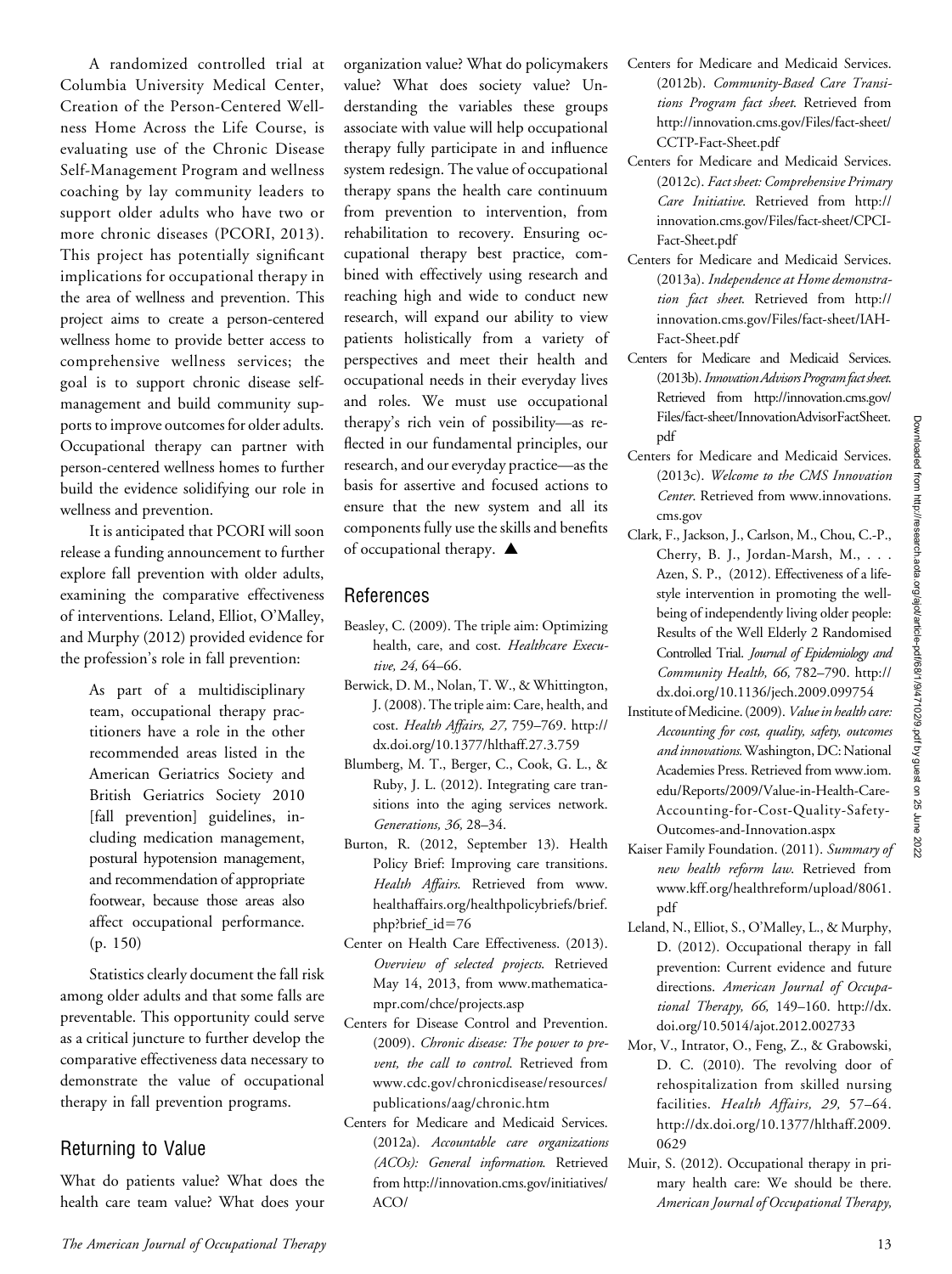A randomized controlled trial at Columbia University Medical Center, Creation of the Person-Centered Wellness Home Across the Life Course, is evaluating use of the Chronic Disease Self-Management Program and wellness coaching by lay community leaders to support older adults who have two or more chronic diseases (PCORI, 2013). This project has potentially significant implications for occupational therapy in the area of wellness and prevention. This project aims to create a person-centered wellness home to provide better access to comprehensive wellness services; the goal is to support chronic disease selfmanagement and build community supports to improve outcomes for older adults. Occupational therapy can partner with person-centered wellness homes to further build the evidence solidifying our role in wellness and prevention.

It is anticipated that PCORI will soon release a funding announcement to further explore fall prevention with older adults, examining the comparative effectiveness of interventions. Leland, Elliot, O'Malley, and Murphy (2012) provided evidence for the profession's role in fall prevention:

> As part of a multidisciplinary team, occupational therapy practitioners have a role in the other recommended areas listed in the American Geriatrics Society and British Geriatrics Society 2010 [fall prevention] guidelines, including medication management, postural hypotension management, and recommendation of appropriate footwear, because those areas also affect occupational performance. (p. 150)

Statistics clearly document the fall risk among older adults and that some falls are preventable. This opportunity could serve as a critical juncture to further develop the comparative effectiveness data necessary to demonstrate the value of occupational therapy in fall prevention programs.

#### Returning to Value

What do patients value? What does the health care team value? What does your organization value? What do policymakers value? What does society value? Understanding the variables these groups associate with value will help occupational therapy fully participate in and influence system redesign. The value of occupational therapy spans the health care continuum from prevention to intervention, from rehabilitation to recovery. Ensuring occupational therapy best practice, combined with effectively using research and reaching high and wide to conduct new research, will expand our ability to view patients holistically from a variety of perspectives and meet their health and occupational needs in their everyday lives and roles. We must use occupational therapy's rich vein of possibility—as reflected in our fundamental principles, our research, and our everyday practice—as the basis for assertive and focused actions to ensure that the new system and all its components fully use the skills and benefits of occupational therapy.  $\blacktriangle$ 

#### References

- Beasley, C. (2009). The triple aim: Optimizing health, care, and cost. Healthcare Executive, 24, 64-66.
- Berwick, D. M., Nolan, T. W., & Whittington, J. (2008). The triple aim: Care, health, and cost. Health Affairs, 27, 759–769. http:// dx.doi.org/10.1377/hlthaff.27.3.759
- Blumberg, M. T., Berger, C., Cook, G. L., & Ruby, J. L. (2012). Integrating care transitions into the aging services network. Generations, 36, 28–34.
- Burton, R. (2012, September 13). Health Policy Brief: Improving care transitions. Health Affairs. Retrieved from [www.](http://www.healthaffairs.org/healthpolicybriefs/brief.php?brief_id=76) [healthaffairs.org/healthpolicybriefs/brief.](http://www.healthaffairs.org/healthpolicybriefs/brief.php?brief_id=76) [php?brief\\_id](http://www.healthaffairs.org/healthpolicybriefs/brief.php?brief_id=76)=76
- Center on Health Care Effectiveness. (2013). Overview of selected projects. Retrieved May 14, 2013, from [www.mathematica](http://www.mathematica-mpr.com/chce/projects.asp)[mpr.com/chce/projects.asp](http://www.mathematica-mpr.com/chce/projects.asp)
- Centers for Disease Control and Prevention. (2009). Chronic disease: The power to prevent, the call to control. Retrieved from [www.cdc.gov/chronicdisease/resources/](http://www.cdc.gov/chronicdisease/resources/publications/aag/chronic.htm) [publications/aag/chronic.htm](http://www.cdc.gov/chronicdisease/resources/publications/aag/chronic.htm)
- Centers for Medicare and Medicaid Services. (2012a). Accountable care organizations (ACOs): General information. Retrieved from [http://innovation.cms.gov/initiatives/](http://innovation.cms.gov/initiatives/ACO/)  $ACO/$
- Centers for Medicare and Medicaid Services. (2012b). Community-Based Care Transitions Program fact sheet. Retrieved from [http://innovation.cms.gov/Files/fact-sheet/](http://innovation.cms.gov/Files/fact-sheet/CCTP-Fact-Sheet.pdf) [CCTP-Fact-Sheet.pdf](http://innovation.cms.gov/Files/fact-sheet/CCTP-Fact-Sheet.pdf)
- Centers for Medicare and Medicaid Services. (2012c). Fact sheet: Comprehensive Primary Care Initiative. Retrieved from [http://](http://innovation.cms.gov/Files/fact-sheet/CPCI-Fact-Sheet.pdf) [innovation.cms.gov/Files/fact-sheet/CPCI-](http://innovation.cms.gov/Files/fact-sheet/CPCI-Fact-Sheet.pdf)[Fact-Sheet.pdf](http://innovation.cms.gov/Files/fact-sheet/CPCI-Fact-Sheet.pdf)
- Centers for Medicare and Medicaid Services. (2013a). Independence at Home demonstration fact sheet. Retrieved from [http://](http://innovation.cms.gov/Files/fact-sheet/IAH-Fact-Sheet.pdf) [innovation.cms.gov/Files/fact-sheet/IAH-](http://innovation.cms.gov/Files/fact-sheet/IAH-Fact-Sheet.pdf)[Fact-Sheet.pdf](http://innovation.cms.gov/Files/fact-sheet/IAH-Fact-Sheet.pdf)
- Centers for Medicare and Medicaid Services. (2013b). Innovation Advisors Program fact sheet. Retrieved from [http://innovation.cms.gov/](http://innovation.cms.gov/Files/fact-sheet/InnovationAdvisorFactSheet.pdf) [Files/fact-sheet/InnovationAdvisorFactSheet.](http://innovation.cms.gov/Files/fact-sheet/InnovationAdvisorFactSheet.pdf) [pdf](http://innovation.cms.gov/Files/fact-sheet/InnovationAdvisorFactSheet.pdf)
- Centers for Medicare and Medicaid Services. (2013c). Welcome to the CMS Innovation Center. Retrieved from [www.innovations.](http://www.innovations.cms.gov) [cms.gov](http://www.innovations.cms.gov)
- Clark, F., Jackson, J., Carlson, M., Chou, C.-P., Cherry, B. J., Jordan-Marsh, M., . . . Azen, S. P., (2012). Effectiveness of a lifestyle intervention in promoting the wellbeing of independently living older people: Results of the Well Elderly 2 Randomised Controlled Trial. Journal of Epidemiology and Community Health, 66, 782–790. http:// dx.doi.org/10.1136/jech.2009.099754
- Institute of Medicine. (2009). Value in health care: Accounting for cost, quality, safety, outcomes and innovations.Washington, DC: National Academies Press. Retrieved from [www.iom.](http://www.iom.edu/Reports/2009/Value-in-Health-Care-Accounting-for-Cost-Quality-Safety-Outcomes-and-Innovation.aspx) [edu/Reports/2009/Value-in-Health-Care-](http://www.iom.edu/Reports/2009/Value-in-Health-Care-Accounting-for-Cost-Quality-Safety-Outcomes-and-Innovation.aspx)[Accounting-for-Cost-Quality-Safety-](http://www.iom.edu/Reports/2009/Value-in-Health-Care-Accounting-for-Cost-Quality-Safety-Outcomes-and-Innovation.aspx)[Outcomes-and-Innovation.aspx](http://www.iom.edu/Reports/2009/Value-in-Health-Care-Accounting-for-Cost-Quality-Safety-Outcomes-and-Innovation.aspx)
- Kaiser Family Foundation. (2011). Summary of new health reform law. Retrieved from [www.kff.org/healthreform/upload/8061.](www.kff.org/healthreform/upload/8061.pdf) [pdf](www.kff.org/healthreform/upload/8061.pdf)
- Leland, N., Elliot, S., O'Malley, L., & Murphy, D. (2012). Occupational therapy in fall prevention: Current evidence and future directions. American Journal of Occupational Therapy, 66, 149–160. http://dx. doi.org/10.5014/ajot.2012.002733
- Mor, V., Intrator, O., Feng, Z., & Grabowski, D. C. (2010). The revolving door of rehospitalization from skilled nursing facilities. Health Affairs, 29, 57–64. http://dx.doi.org/10.1377/hlthaff.2009. 0629
- Muir, S. (2012). Occupational therapy in primary health care: We should be there. American Journal of Occupational Therapy,